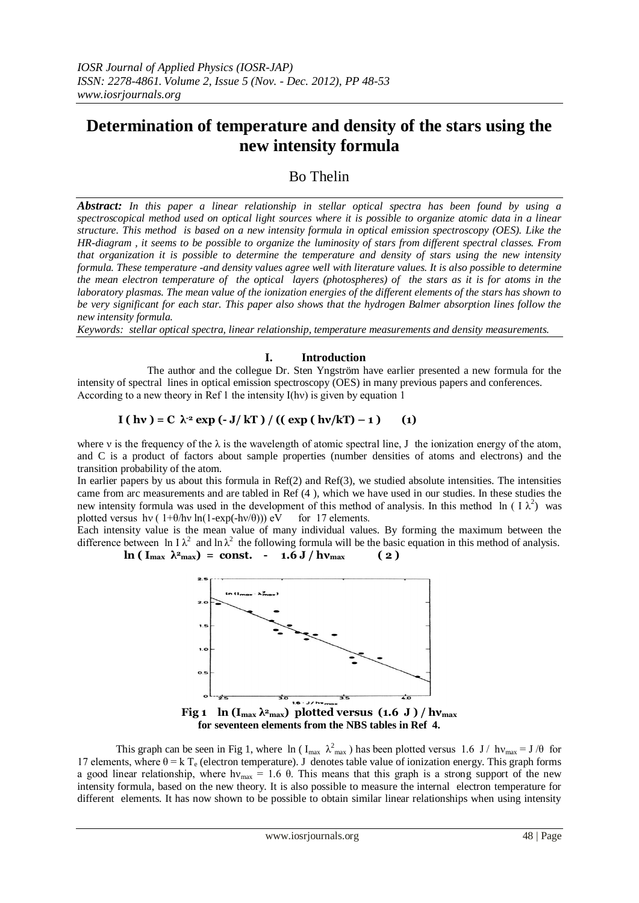# **Determination of temperature and density of the stars using the new intensity formula**

## Bo Thelin

*Abstract: In this paper a linear relationship in stellar optical spectra has been found by using a spectroscopical method used on optical light sources where it is possible to organize atomic data in a linear structure. This method is based on a new intensity formula in optical emission spectroscopy (OES). Like the HR-diagram , it seems to be possible to organize the luminosity of stars from different spectral classes. From that organization it is possible to determine the temperature and density of stars using the new intensity formula. These temperature -and density values agree well with literature values. It is also possible to determine the mean electron temperature of the optical layers (photospheres) of the stars as it is for atoms in the laboratory plasmas. The mean value of the ionization energies of the different elements of the stars has shown to be very significant for each star. This paper also shows that the hydrogen Balmer absorption lines follow the new intensity formula.* 

*Keywords: stellar optical spectra, linear relationship, temperature measurements and density measurements.*

## **I. Introduction**

The author and the collegue Dr. Sten Yngström have earlier presented a new formula for the intensity of spectral lines in optical emission spectroscopy (OES) in many previous papers and conferences. According to a new theory in Ref 1 the intensity I(hν) is given by equation 1

$$
I(hv) = C \lambda^{2} \exp(-J/kT) / (( \exp(hv/kT) - 1) \quad (1)
$$

where v is the frequency of the  $\lambda$  is the wavelength of atomic spectral line, J the ionization energy of the atom, and C is a product of factors about sample properties (number densities of atoms and electrons) and the transition probability of the atom.

In earlier papers by us about this formula in Ref(2) and Ref(3), we studied absolute intensities. The intensities came from arc measurements and are tabled in Ref (4 ), which we have used in our studies. In these studies the new intensity formula was used in the development of this method of analysis. In this method ln (  $I \lambda^2$ ) was plotted versus hv (  $1+\theta/hv \ln(1-\exp(-hv/\theta))$ ) eV for 17 elements.

Each intensity value is the mean value of many individual values. By forming the maximum between the difference between ln I $\lambda^2$  and ln  $\lambda^2$  the following formula will be the basic equation in this method of analysis.  $\ln (\text{I}_{\text{max}} \lambda^2_{\text{max}}) = \text{const.} - 1.6 \text{ J} / \text{hv}_{\text{max}}$  (2)



**for seventeen elements from the NBS tables in Ref 4.**

This graph can be seen in Fig 1, where  $\ln (I_{max} \lambda_{max}^2)$  has been plotted versus 1.6 J/  $hv_{max} = J/\theta$  for 17 elements, where  $\theta = k \int_{\theta}^{\theta}$  (electron temperature). J denotes table value of ionization energy. This graph forms a good linear relationship, where  $hv_{max} = 1.6$   $\theta$ . This means that this graph is a strong support of the new intensity formula, based on the new theory. It is also possible to measure the internal electron temperature for different elements. It has now shown to be possible to obtain similar linear relationships when using intensity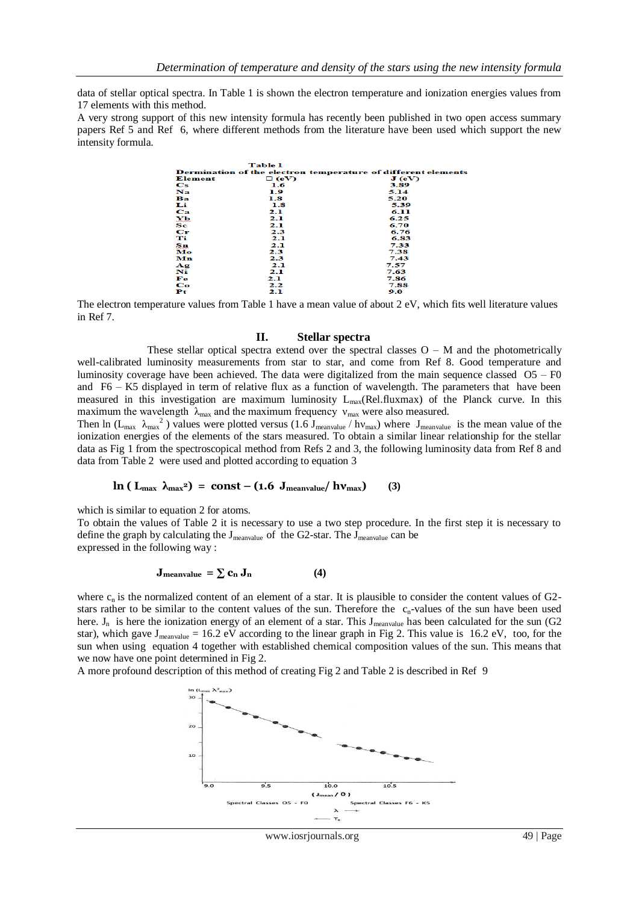data of stellar optical spectra. In Table 1 is shown the electron temperature and ionization energies values from 17 elements with this method.

A very strong support of this new intensity formula has recently been published in two open access summary papers Ref 5 and Ref 6, where different methods from the literature have been used which support the new intensity formula.

|                                                               | <b>Table 1</b> |       |  |  |
|---------------------------------------------------------------|----------------|-------|--|--|
| Dermination of the electron temperature of different elements |                |       |  |  |
| Element                                                       | $\square$ (eV) | J(eV) |  |  |
| $\bf Cs$                                                      | 1.6            | 3.89  |  |  |
| Na.                                                           | 1.9            | 5.14  |  |  |
| Ва                                                            | 1.8            | 5.20  |  |  |
| Li                                                            | 1.8            | 5.39  |  |  |
| Ca                                                            | 2.1            | 6.11  |  |  |
| $\mathbf{X} \mathbf{P}$                                       | 2.1            | 6.25  |  |  |
| $\ddot{\mathbf{s}}$ $\ddot{\mathbf{c}}$                       | 2.1            | 6.70  |  |  |
| $\mathbf{C}\mathbf{r}$                                        | 2.3            | 6.76  |  |  |
| Ti                                                            | 2.1            | 6.83  |  |  |
| Su                                                            | 2.1            | 7.33  |  |  |
| Mo                                                            | 2.3            | 7.38  |  |  |
| Mn                                                            | 2.3            | 7.43  |  |  |
| Ag                                                            | 2.1            | 7.57  |  |  |
| Ni                                                            | 2.1            | 7.63  |  |  |
| Fe                                                            | 2.1            | 7.86  |  |  |
| Co                                                            | 2.2            | 7.88  |  |  |
| Рt                                                            | 2.1            | 9.0   |  |  |

The electron temperature values from Table 1 have a mean value of about 2 eV, which fits well literature values in Ref 7.

## **II. Stellar spectra**

These stellar optical spectra extend over the spectral classes  $O - M$  and the photometrically well-calibrated luminosity measurements from star to star, and come from Ref 8. Good temperature and luminosity coverage have been achieved. The data were digitalized from the main sequence classed  $O5 - F0$ and F6 – K5 displayed in term of relative flux as a function of wavelength. The parameters that have been measured in this investigation are maximum luminosity  $L_{\text{max}}(Rel-fluxmax)$  of the Planck curve. In this maximum the wavelength  $\lambda_{\text{max}}$  and the maximum frequency  $v_{\text{max}}$  were also measured.

Then ln ( $L_{max}$   $\lambda_{max}^2$ ) values were plotted versus (1.6  $J_{mean value}$  / hv<sub>max</sub>) where  $J_{mean value}$  is the mean value of the ionization energies of the elements of the stars measured. To obtain a similar linear relationship for the stellar data as Fig 1 from the spectroscopical method from Refs 2 and 3, the following luminosity data from Ref 8 and data from Table 2 were used and plotted according to equation 3

### **c ln** ( $L_{\text{max}}$ ,  $\lambda_{\text{max}}$ <sup>2</sup>) = const – (1.6  $J_{\text{meanvalue}}/h\nu_{\text{max}}$ ) (3)

which is similar to equation 2 for atoms.

To obtain the values of Table 2 it is necessary to use a two step procedure. In the first step it is necessary to define the graph by calculating the J<sub>meanvalue</sub> of the G2-star. The J<sub>meanvalue</sub> can be expressed in the following way :

$$
\mathbf{J}_{\text{meanvalue}} = \sum_{n} \mathbf{c}_n \, \mathbf{J}_n \tag{4}
$$

where  $c_n$  is the normalized content of an element of a star. It is plausible to consider the content values of G2stars rather to be similar to the content values of the sun. Therefore the  $c_n$ -values of the sun have been used here.  $J_n$  is here the ionization energy of an element of a star. This  $J_{\text{measurable}}$  has been calculated for the sun (G2 star), which gave  $J_{\text{meanvalue}} = 16.2 \text{ eV}$  according to the linear graph in Fig 2. This value is 16.2 eV, too, for the sun when using equation 4 together with established chemical composition values of the sun. This means that we now have one point determined in Fig 2.

A more profound description of this method of creating Fig 2 and Table 2 is described in Ref 9



www.iosrjournals.org 49 | Page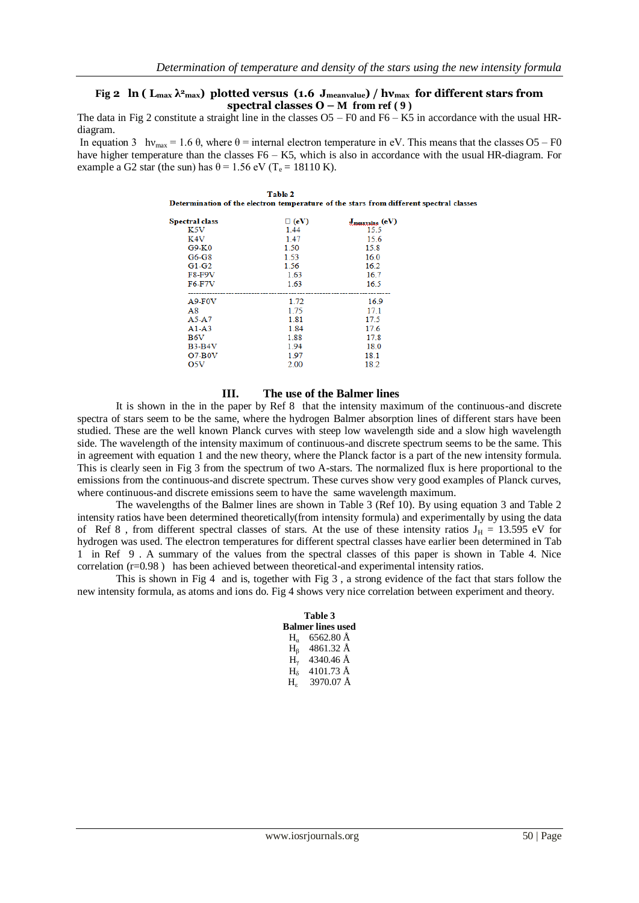spectral classes

## **Fig 2 ln ( Lmax λ2max) plotted versus (1.6 Jmeanvalue) / hνmax for different stars from spectral classes**  $O - M$  **from ref (9)**

The data in Fig 2 constitute a straight line in the classes O5 – F0 and F6 – K5 in accordance with the usual HRdiagram.

In equation 3 hv<sub>max</sub> = 1.6  $\theta$ , where  $\theta$  = internal electron temperature in eV. This means that the classes O5 – F0 have higher temperature than the classes F6 – K5, which is also in accordance with the usual HR-diagram. For example a G2 star (the sun) has  $\theta$  = 1.56 eV (T<sub>e</sub> = 18110 K).

| Table 2<br>Determination of the electron temperature of the stars from different |             |                           |  |  |
|----------------------------------------------------------------------------------|-------------|---------------------------|--|--|
| <b>Spectral class</b>                                                            | $\Box$ (eV) | $J_{\text{measure}}$ (eV) |  |  |
| K <sub>5</sub> V                                                                 | 144         | 15.5                      |  |  |
| K4V                                                                              | 147         | 15.6                      |  |  |
| $G9-K0$                                                                          | 1.50        | 15.8                      |  |  |
| $G6-G8$                                                                          | 1.53        | 16.0                      |  |  |
| $G1-G2$                                                                          | 1.56        | 16.2                      |  |  |
| <b>F8-F9V</b>                                                                    | 1.63        | 16.7                      |  |  |
| <b>F6-F7V</b>                                                                    | 1.63        | 16.5                      |  |  |
| $A9-F0V$                                                                         | 1.72        | 16.9                      |  |  |
| A8                                                                               | 175         | 171                       |  |  |
| A5-A7                                                                            | 1.81        | 17.5                      |  |  |
| $A1-A3$                                                                          | 1.84        | 17.6                      |  |  |
| B6V                                                                              | 1.88        | 17.8                      |  |  |
| $B3-B4V$                                                                         | 1.94        | 18.0                      |  |  |
| $O7-B0V$                                                                         | 1.97        | 18.1                      |  |  |
| O5V                                                                              | 2.00        | 18.2                      |  |  |

#### **III. The use of the Balmer lines**

It is shown in the in the paper by Ref 8 that the intensity maximum of the continuous-and discrete spectra of stars seem to be the same, where the hydrogen Balmer absorption lines of different stars have been studied. These are the well known Planck curves with steep low wavelength side and a slow high wavelength side. The wavelength of the intensity maximum of continuous-and discrete spectrum seems to be the same. This in agreement with equation 1 and the new theory, where the Planck factor is a part of the new intensity formula. This is clearly seen in Fig 3 from the spectrum of two A-stars. The normalized flux is here proportional to the emissions from the continuous-and discrete spectrum. These curves show very good examples of Planck curves, where continuous-and discrete emissions seem to have the same wavelength maximum.

The wavelengths of the Balmer lines are shown in Table 3 (Ref 10). By using equation 3 and Table 2 intensity ratios have been determined theoretically(from intensity formula) and experimentally by using the data of Ref 8, from different spectral classes of stars. At the use of these intensity ratios  $J_H = 13.595$  eV for hydrogen was used. The electron temperatures for different spectral classes have earlier been determined in Tab 1 in Ref 9 . A summary of the values from the spectral classes of this paper is shown in Table 4. Nice correlation (r=0.98 ) has been achieved between theoretical-and experimental intensity ratios.

This is shown in Fig 4 and is, together with Fig 3 , a strong evidence of the fact that stars follow the new intensity formula, as atoms and ions do. Fig 4 shows very nice correlation between experiment and theory.

| Table 3      |                          |  |  |  |
|--------------|--------------------------|--|--|--|
|              | <b>Balmer lines used</b> |  |  |  |
| $H_{\alpha}$ | 6562.80 Å                |  |  |  |
| $H_6$        | 4861.32 Å                |  |  |  |
| $H_{\nu}$    | 4340.46 Å                |  |  |  |
| $H_8$        | 4101.73 Å                |  |  |  |
| Н.           | 3970.07 Å                |  |  |  |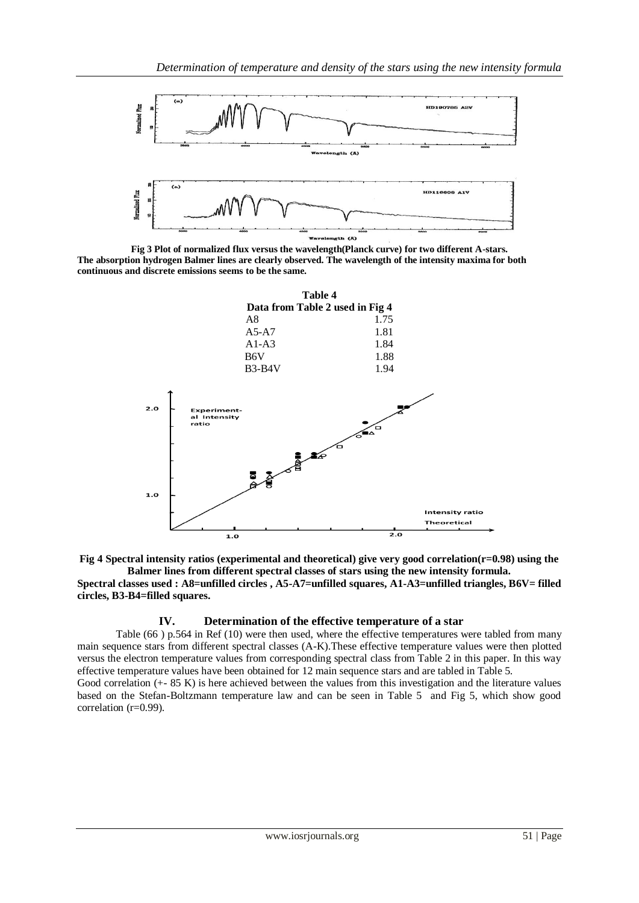

**Fig 3 Plot of normalized flux versus the wavelength(Planck curve) for two different A-stars. The absorption hydrogen Balmer lines are clearly observed. The wavelength of the intensity maxima for both continuous and discrete emissions seems to be the same.**





**Spectral classes used : A8=unfilled circles , A5-A7=unfilled squares, A1-A3=unfilled triangles, B6V= filled circles, B3-B4=filled squares.**

## **IV. Determination of the effective temperature of a star**

Table (66 ) p.564 in Ref (10) were then used, where the effective temperatures were tabled from many main sequence stars from different spectral classes (A-K).These effective temperature values were then plotted versus the electron temperature values from corresponding spectral class from Table 2 in this paper. In this way effective temperature values have been obtained for 12 main sequence stars and are tabled in Table 5.

Good correlation (+- 85 K) is here achieved between the values from this investigation and the literature values based on the Stefan-Boltzmann temperature law and can be seen in Table 5 and Fig 5, which show good correlation (r=0.99).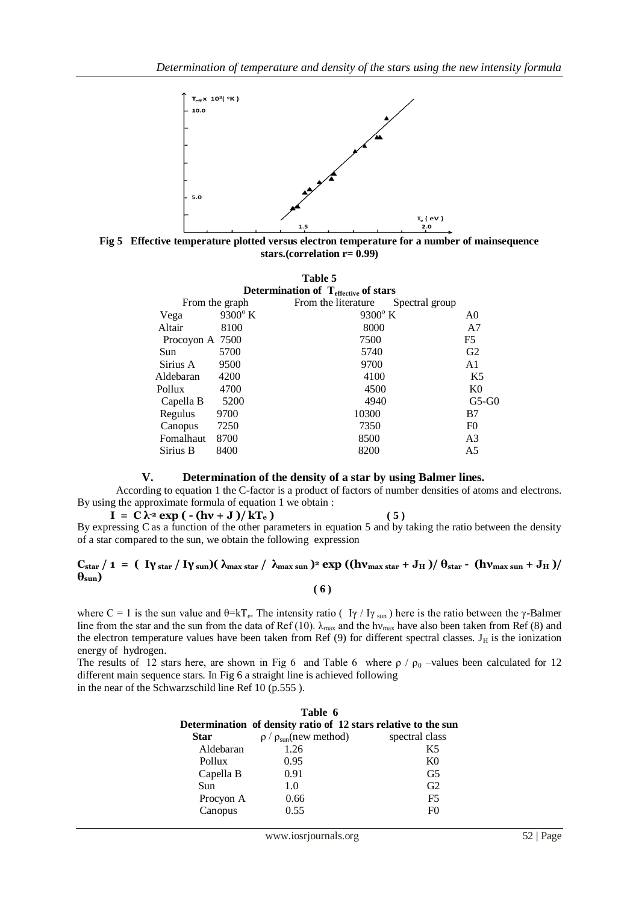

**Fig 5 Effective temperature plotted versus electron temperature for a number of mainsequence stars.(correlation r= 0.99)**

| Table 5                                   |                 |                  |                                       |                |  |
|-------------------------------------------|-----------------|------------------|---------------------------------------|----------------|--|
| Determination of $T_{effective}$ of stars |                 |                  |                                       |                |  |
|                                           |                 | From the graph   | From the literature<br>Spectral group |                |  |
|                                           | Vega            | $9300^{\circ}$ K | $9300^{\circ}$ K                      | A0             |  |
|                                           | Altair          | 8100             | 8000                                  | A7             |  |
|                                           | Procoyon A 7500 |                  | 7500                                  | F <sub>5</sub> |  |
|                                           | Sun.            | 5700             | 5740                                  | G2             |  |
|                                           | Sirius A        | 9500             | 9700                                  | A <sub>1</sub> |  |
|                                           | Aldebaran       | 4200             | 4100                                  | K5             |  |
|                                           | Pollux          | 4700             | 4500                                  | K <sub>0</sub> |  |
|                                           | Capella B       | 5200             | 4940                                  | $G5-G0$        |  |
|                                           | Regulus         | 9700             | 10300                                 | B7             |  |
|                                           | Canopus         | 7250             | 7350                                  | F <sub>0</sub> |  |
|                                           | Fomalhaut       | 8700             | 8500                                  | A <sub>3</sub> |  |
|                                           | Sirius B        | 8400             | 8200                                  | A5             |  |
|                                           |                 |                  |                                       |                |  |

## **V. Determination of the density of a star by using Balmer lines.**

According to equation 1 the C-factor is a product of factors of number densities of atoms and electrons. By using the approximate formula of equation 1 we obtain :

 $I = C \lambda^2 \exp(- (\hbar v + J)/kT_e)$  (5) By expressing C as a function of the other parameters in equation 5 and by taking the ratio between the density of a star compared to the sun, we obtain the following expression

## $C_{star}/1 = (V_{star}/V_{star}/V_{sun})(\lambda_{max star}/\lambda_{max sun})^2 \exp((hv_{max star} + J_H)/\theta_{star} - (hv_{max sun} + J_H)/\theta_{star})$  $\theta_{\text{sun}}$ )  **( 6 )**

where C = 1 is the sun value and  $\theta = kT_e$ . The intensity ratio ( I $\gamma$  / I $\gamma$  sun) here is the ratio between the  $\gamma$ -Balmer line from the star and the sun from the data of Ref (10).  $\lambda_{\text{max}}$  and the hv<sub>max</sub> have also been taken from Ref (8) and the electron temperature values have been taken from Ref  $(9)$  for different spectral classes.  $J_H$  is the ionization energy of hydrogen.

The results of 12 stars here, are shown in Fig 6 and Table 6 where  $\rho / \rho_0$  –values been calculated for 12 different main sequence stars. In Fig 6 a straight line is achieved following in the near of the Schwarzschild line Ref 10 (p.555 ).

| Table 6     |                                                                |                |  |  |  |  |
|-------------|----------------------------------------------------------------|----------------|--|--|--|--|
|             | Determination of density ratio of 12 stars relative to the sun |                |  |  |  |  |
| <b>Star</b> | $\rho / \rho_{sun}$ (new method)                               | spectral class |  |  |  |  |
| Aldebaran   | 1.26                                                           | K5             |  |  |  |  |
| Pollux      | 0.95                                                           | K <sub>0</sub> |  |  |  |  |
| Capella B   | 0.91                                                           | G <sub>5</sub> |  |  |  |  |
| Sun         | 1.0                                                            | G <sub>2</sub> |  |  |  |  |
| Procyon A   | 0.66                                                           | F <sub>5</sub> |  |  |  |  |
| Canopus     | 0.55                                                           | F۵             |  |  |  |  |